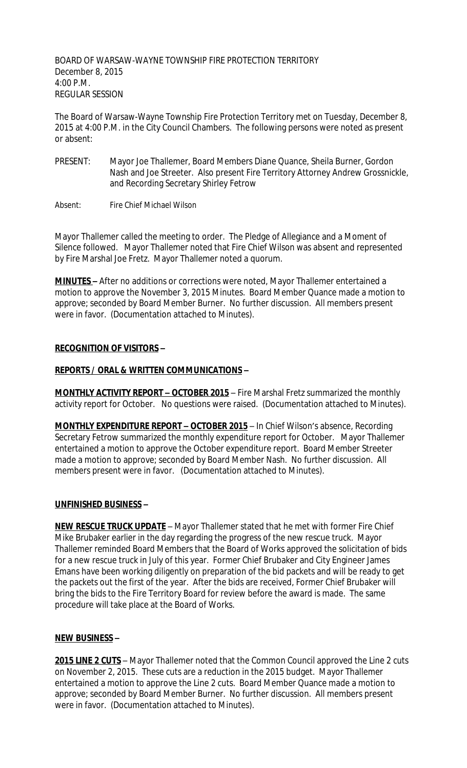BOARD OF WARSAW-WAYNE TOWNSHIP FIRE PROTECTION TERRITORY December 8, 2015 4:00 P.M. REGULAR SESSION

The Board of Warsaw-Wayne Township Fire Protection Territory met on Tuesday, December 8, 2015 at 4:00 P.M. in the City Council Chambers. The following persons were noted as present or absent:

PRESENT: Mayor Joe Thallemer, Board Members Diane Quance, Sheila Burner, Gordon Nash and Joe Streeter. Also present Fire Territory Attorney Andrew Grossnickle, and Recording Secretary Shirley Fetrow

Absent: Fire Chief Michael Wilson

Mayor Thallemer called the meeting to order. The Pledge of Allegiance and a Moment of Silence followed. Mayor Thallemer noted that Fire Chief Wilson was absent and represented by Fire Marshal Joe Fretz. Mayor Thallemer noted a quorum.

**MINUTES –** After no additions or corrections were noted, Mayor Thallemer entertained a motion to approve the November 3, 2015 Minutes. Board Member Quance made a motion to approve; seconded by Board Member Burner. No further discussion. All members present were in favor. (Documentation attached to Minutes).

# **RECOGNITION OF VISITORS –**

# **REPORTS / ORAL & WRITTEN COMMUNICATIONS –**

**MONTHLY ACTIVITY REPORT - OCTOBER 2015** - Fire Marshal Fretz summarized the monthly activity report for October. No questions were raised. (Documentation attached to Minutes).

**MONTHLY EXPENDITURE REPORT – OCTOBER 2015** – In Chief Wilson's absence, Recording Secretary Fetrow summarized the monthly expenditure report for October. Mayor Thallemer entertained a motion to approve the October expenditure report. Board Member Streeter made a motion to approve; seconded by Board Member Nash. No further discussion. All members present were in favor. (Documentation attached to Minutes).

### **UNFINISHED BUSINESS –**

**NEW RESCUE TRUCK UPDATE** – Mayor Thallemer stated that he met with former Fire Chief Mike Brubaker earlier in the day regarding the progress of the new rescue truck. Mayor Thallemer reminded Board Members that the Board of Works approved the solicitation of bids for a new rescue truck in July of this year. Former Chief Brubaker and City Engineer James Emans have been working diligently on preparation of the bid packets and will be ready to get the packets out the first of the year. After the bids are received, Former Chief Brubaker will bring the bids to the Fire Territory Board for review before the award is made. The same procedure will take place at the Board of Works.

### **NEW BUSINESS –**

**2015 LINE 2 CUTS** – Mayor Thallemer noted that the Common Council approved the Line 2 cuts on November 2, 2015. These cuts are a reduction in the 2015 budget. Mayor Thallemer entertained a motion to approve the Line 2 cuts. Board Member Quance made a motion to approve; seconded by Board Member Burner. No further discussion. All members present were in favor. (Documentation attached to Minutes).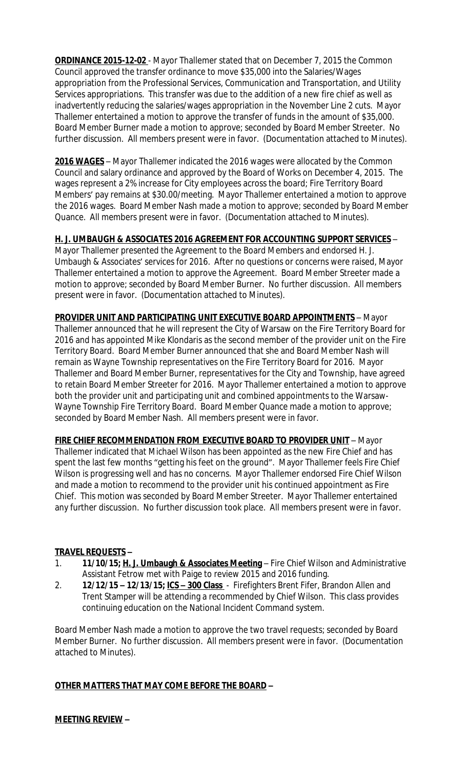**ORDINANCE 2015-12-02** - Mayor Thallemer stated that on December 7, 2015 the Common Council approved the transfer ordinance to move \$35,000 into the Salaries/Wages appropriation from the Professional Services, Communication and Transportation, and Utility Services appropriations. This transfer was due to the addition of a new fire chief as well as inadvertently reducing the salaries/wages appropriation in the November Line 2 cuts. Mayor Thallemer entertained a motion to approve the transfer of funds in the amount of \$35,000. Board Member Burner made a motion to approve; seconded by Board Member Streeter. No further discussion. All members present were in favor. (Documentation attached to Minutes).

**2016 WAGES** – Mayor Thallemer indicated the 2016 wages were allocated by the Common Council and salary ordinance and approved by the Board of Works on December 4, 2015. The wages represent a 2% increase for City employees across the board; Fire Territory Board Members' pay remains at \$30.00/meeting. Mayor Thallemer entertained a motion to approve the 2016 wages. Board Member Nash made a motion to approve; seconded by Board Member Quance. All members present were in favor. (Documentation attached to Minutes).

# **H. J. UMBAUGH & ASSOCIATES 2016 AGREEMENT FOR ACCOUNTING SUPPORT SERVICES** –

Mayor Thallemer presented the Agreement to the Board Members and endorsed H. J. Umbaugh & Associates' services for 2016. After no questions or concerns were raised, Mayor Thallemer entertained a motion to approve the Agreement. Board Member Streeter made a motion to approve; seconded by Board Member Burner. No further discussion. All members present were in favor. (Documentation attached to Minutes).

**PROVIDER UNIT AND PARTICIPATING UNIT EXECUTIVE BOARD APPOINTMENTS** – Mayor Thallemer announced that he will represent the City of Warsaw on the Fire Territory Board for 2016 and has appointed Mike Klondaris as the second member of the provider unit on the Fire Territory Board. Board Member Burner announced that she and Board Member Nash will remain as Wayne Township representatives on the Fire Territory Board for 2016. Mayor Thallemer and Board Member Burner, representatives for the City and Township, have agreed to retain Board Member Streeter for 2016. Mayor Thallemer entertained a motion to approve both the provider unit and participating unit and combined appointments to the Warsaw-Wayne Township Fire Territory Board. Board Member Quance made a motion to approve; seconded by Board Member Nash. All members present were in favor.

**FIRE CHIEF RECOMMENDATION FROM EXECUTIVE BOARD TO PROVIDER UNIT** – Mayor Thallemer indicated that Michael Wilson has been appointed as the new Fire Chief and has spent the last few months "getting his feet on the ground". Mayor Thallemer feels Fire Chief Wilson is progressing well and has no concerns. Mayor Thallemer endorsed Fire Chief Wilson and made a motion to recommend to the provider unit his continued appointment as Fire Chief. This motion was seconded by Board Member Streeter. Mayor Thallemer entertained any further discussion. No further discussion took place. All members present were in favor.

### **TRAVEL REQUESTS –**

- 1. **11/10/15; H. J. Umbaugh & Associates Meeting** Fire Chief Wilson and Administrative Assistant Fetrow met with Paige to review 2015 and 2016 funding.
- 2. **12/12/15 – 12/13/15; ICS – 300 Class** Firefighters Brent Fifer, Brandon Allen and Trent Stamper will be attending a recommended by Chief Wilson. This class provides continuing education on the National Incident Command system.

Board Member Nash made a motion to approve the two travel requests; seconded by Board Member Burner. No further discussion. All members present were in favor. (Documentation attached to Minutes).

### **OTHER MATTERS THAT MAY COME BEFORE THE BOARD –**

### **MEETING REVIEW –**